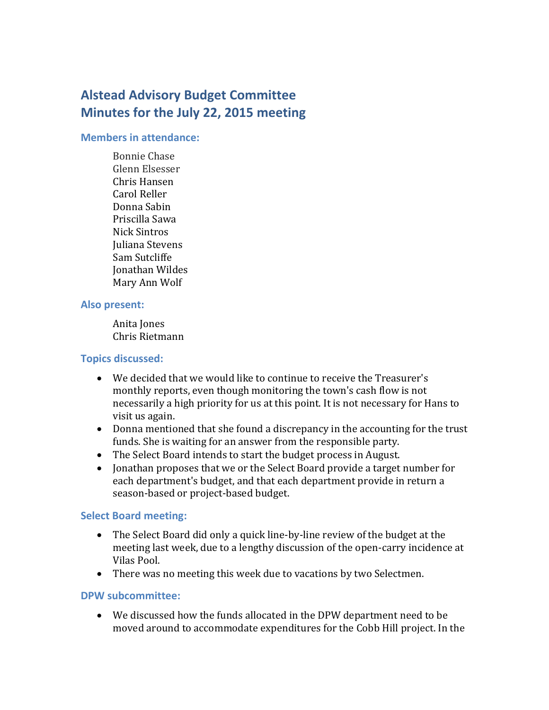# **Alstead Advisory Budget Committee Minutes for the July 22, 2015 meeting**

#### **Members in attendance:**

Bonnie Chase Glenn Elsesser Chris Hansen Carol Reller Donna Sabin Priscilla Sawa Nick Sintros Juliana Stevens Sam Sutcliffe Jonathan Wildes Mary Ann Wolf

#### **Also present:**

Anita Jones Chris Rietmann

## **Topics discussed:**

- We decided that we would like to continue to receive the Treasurer's monthly reports, even though monitoring the town's cash flow is not necessarily a high priority for us at this point. It is not necessary for Hans to visit us again.
- Donna mentioned that she found a discrepancy in the accounting for the trust funds. She is waiting for an answer from the responsible party.
- The Select Board intends to start the budget process in August.
- Jonathan proposes that we or the Select Board provide a target number for each department's budget, and that each department provide in return a season-based or project-based budget.

## **Select Board meeting:**

- The Select Board did only a quick line-by-line review of the budget at the meeting last week, due to a lengthy discussion of the open-carry incidence at Vilas Pool.
- There was no meeting this week due to vacations by two Selectmen.

## **DPW subcommittee:**

 We discussed how the funds allocated in the DPW department need to be moved around to accommodate expenditures for the Cobb Hill project. In the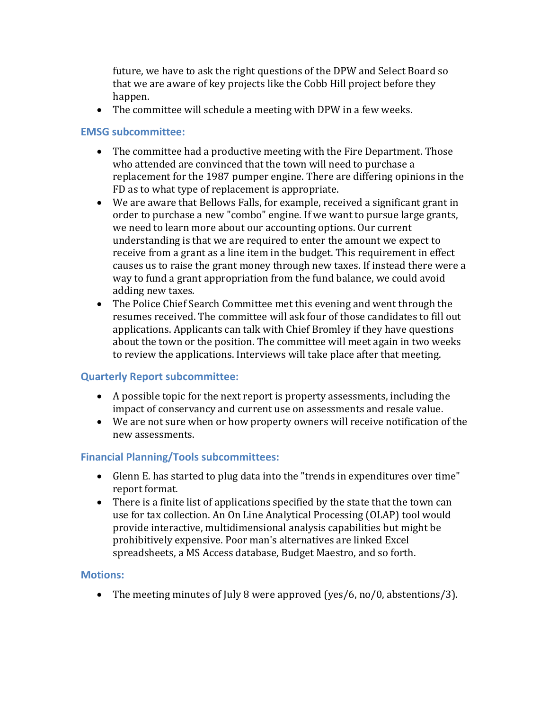future, we have to ask the right questions of the DPW and Select Board so that we are aware of key projects like the Cobb Hill project before they happen.

The committee will schedule a meeting with DPW in a few weeks.

## **EMSG subcommittee:**

- The committee had a productive meeting with the Fire Department. Those who attended are convinced that the town will need to purchase a replacement for the 1987 pumper engine. There are differing opinions in the FD as to what type of replacement is appropriate.
- We are aware that Bellows Falls, for example, received a significant grant in order to purchase a new "combo" engine. If we want to pursue large grants, we need to learn more about our accounting options. Our current understanding is that we are required to enter the amount we expect to receive from a grant as a line item in the budget. This requirement in effect causes us to raise the grant money through new taxes. If instead there were a way to fund a grant appropriation from the fund balance, we could avoid adding new taxes.
- The Police Chief Search Committee met this evening and went through the resumes received. The committee will ask four of those candidates to fill out applications. Applicants can talk with Chief Bromley if they have questions about the town or the position. The committee will meet again in two weeks to review the applications. Interviews will take place after that meeting.

## **Quarterly Report subcommittee:**

- A possible topic for the next report is property assessments, including the impact of conservancy and current use on assessments and resale value.
- We are not sure when or how property owners will receive notification of the new assessments.

## **Financial Planning/Tools subcommittees:**

- Glenn E. has started to plug data into the "trends in expenditures over time" report format.
- There is a finite list of applications specified by the state that the town can use for tax collection. An On Line Analytical Processing (OLAP) tool would provide interactive, multidimensional analysis capabilities but might be prohibitively expensive. Poor man's alternatives are linked Excel spreadsheets, a MS Access database, Budget Maestro, and so forth.

## **Motions:**

• The meeting minutes of July 8 were approved (yes/6, no/0, abstentions/3).